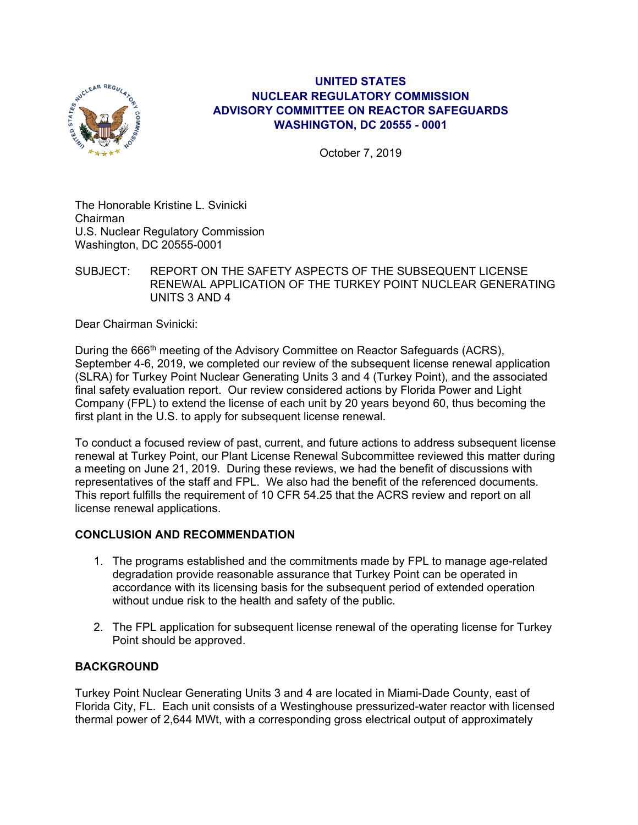

## **UNITED STATES NUCLEAR REGULATORY COMMISSION ADVISORY COMMITTEE ON REACTOR SAFEGUARDS WASHINGTON, DC 20555 - 0001**

October 7, 2019

The Honorable Kristine L. Svinicki Chairman U.S. Nuclear Regulatory Commission Washington, DC 20555-0001

SUBJECT: REPORT ON THE SAFETY ASPECTS OF THE SUBSEQUENT LICENSE RENEWAL APPLICATION OF THE TURKEY POINT NUCLEAR GENERATING UNITS 3 AND 4

Dear Chairman Svinicki:

During the 666<sup>th</sup> meeting of the Advisory Committee on Reactor Safeguards (ACRS), September 4-6, 2019, we completed our review of the subsequent license renewal application (SLRA) for Turkey Point Nuclear Generating Units 3 and 4 (Turkey Point), and the associated final safety evaluation report. Our review considered actions by Florida Power and Light Company (FPL) to extend the license of each unit by 20 years beyond 60, thus becoming the first plant in the U.S. to apply for subsequent license renewal.

To conduct a focused review of past, current, and future actions to address subsequent license renewal at Turkey Point, our Plant License Renewal Subcommittee reviewed this matter during a meeting on June 21, 2019. During these reviews, we had the benefit of discussions with representatives of the staff and FPL. We also had the benefit of the referenced documents. This report fulfills the requirement of 10 CFR 54.25 that the ACRS review and report on all license renewal applications.

## **CONCLUSION AND RECOMMENDATION**

- 1. The programs established and the commitments made by FPL to manage age-related degradation provide reasonable assurance that Turkey Point can be operated in accordance with its licensing basis for the subsequent period of extended operation without undue risk to the health and safety of the public.
- 2. The FPL application for subsequent license renewal of the operating license for Turkey Point should be approved.

## **BACKGROUND**

Turkey Point Nuclear Generating Units 3 and 4 are located in Miami-Dade County, east of Florida City, FL. Each unit consists of a Westinghouse pressurized-water reactor with licensed thermal power of 2,644 MWt, with a corresponding gross electrical output of approximately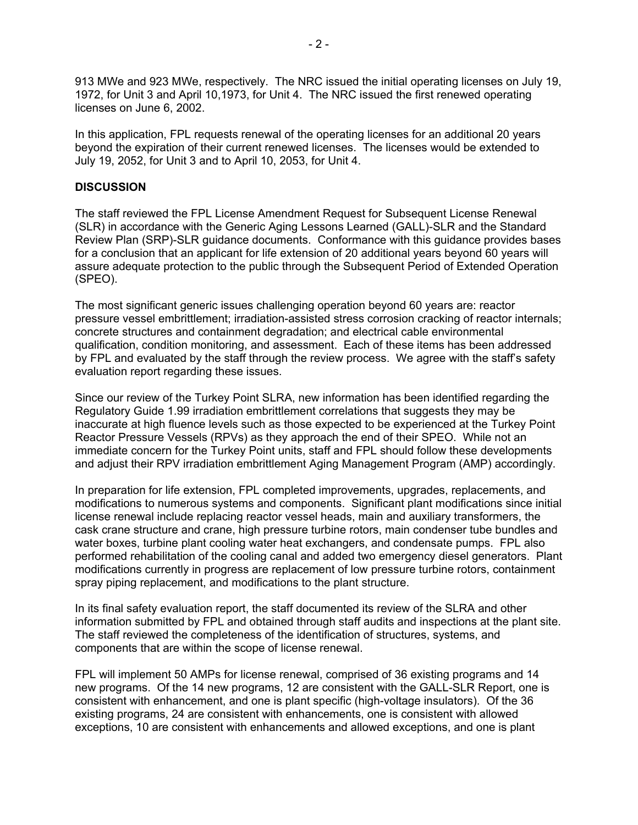913 MWe and 923 MWe, respectively. The NRC issued the initial operating licenses on July 19, 1972, for Unit 3 and April 10,1973, for Unit 4. The NRC issued the first renewed operating licenses on June 6, 2002.

In this application, FPL requests renewal of the operating licenses for an additional 20 years beyond the expiration of their current renewed licenses. The licenses would be extended to July 19, 2052, for Unit 3 and to April 10, 2053, for Unit 4.

#### **DISCUSSION**

The staff reviewed the FPL License Amendment Request for Subsequent License Renewal (SLR) in accordance with the Generic Aging Lessons Learned (GALL)-SLR and the Standard Review Plan (SRP)-SLR guidance documents. Conformance with this guidance provides bases for a conclusion that an applicant for life extension of 20 additional years beyond 60 years will assure adequate protection to the public through the Subsequent Period of Extended Operation (SPEO).

The most significant generic issues challenging operation beyond 60 years are: reactor pressure vessel embrittlement; irradiation-assisted stress corrosion cracking of reactor internals; concrete structures and containment degradation; and electrical cable environmental qualification, condition monitoring, and assessment. Each of these items has been addressed by FPL and evaluated by the staff through the review process. We agree with the staff's safety evaluation report regarding these issues.

Since our review of the Turkey Point SLRA, new information has been identified regarding the Regulatory Guide 1.99 irradiation embrittlement correlations that suggests they may be inaccurate at high fluence levels such as those expected to be experienced at the Turkey Point Reactor Pressure Vessels (RPVs) as they approach the end of their SPEO. While not an immediate concern for the Turkey Point units, staff and FPL should follow these developments and adjust their RPV irradiation embrittlement Aging Management Program (AMP) accordingly.

In preparation for life extension, FPL completed improvements, upgrades, replacements, and modifications to numerous systems and components. Significant plant modifications since initial license renewal include replacing reactor vessel heads, main and auxiliary transformers, the cask crane structure and crane, high pressure turbine rotors, main condenser tube bundles and water boxes, turbine plant cooling water heat exchangers, and condensate pumps. FPL also performed rehabilitation of the cooling canal and added two emergency diesel generators. Plant modifications currently in progress are replacement of low pressure turbine rotors, containment spray piping replacement, and modifications to the plant structure.

In its final safety evaluation report, the staff documented its review of the SLRA and other information submitted by FPL and obtained through staff audits and inspections at the plant site. The staff reviewed the completeness of the identification of structures, systems, and components that are within the scope of license renewal.

FPL will implement 50 AMPs for license renewal, comprised of 36 existing programs and 14 new programs. Of the 14 new programs, 12 are consistent with the GALL-SLR Report, one is consistent with enhancement, and one is plant specific (high-voltage insulators). Of the 36 existing programs, 24 are consistent with enhancements, one is consistent with allowed exceptions, 10 are consistent with enhancements and allowed exceptions, and one is plant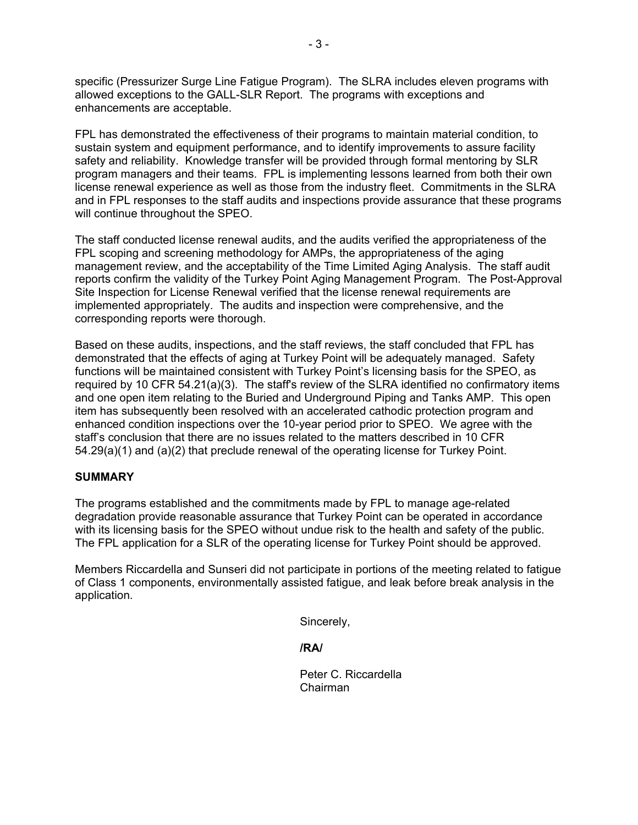specific (Pressurizer Surge Line Fatigue Program). The SLRA includes eleven programs with allowed exceptions to the GALL-SLR Report. The programs with exceptions and enhancements are acceptable.

FPL has demonstrated the effectiveness of their programs to maintain material condition, to sustain system and equipment performance, and to identify improvements to assure facility safety and reliability. Knowledge transfer will be provided through formal mentoring by SLR program managers and their teams. FPL is implementing lessons learned from both their own license renewal experience as well as those from the industry fleet. Commitments in the SLRA and in FPL responses to the staff audits and inspections provide assurance that these programs will continue throughout the SPEO.

The staff conducted license renewal audits, and the audits verified the appropriateness of the FPL scoping and screening methodology for AMPs, the appropriateness of the aging management review, and the acceptability of the Time Limited Aging Analysis. The staff audit reports confirm the validity of the Turkey Point Aging Management Program. The Post-Approval Site Inspection for License Renewal verified that the license renewal requirements are implemented appropriately. The audits and inspection were comprehensive, and the corresponding reports were thorough.

Based on these audits, inspections, and the staff reviews, the staff concluded that FPL has demonstrated that the effects of aging at Turkey Point will be adequately managed. Safety functions will be maintained consistent with Turkey Point's licensing basis for the SPEO, as required by 10 CFR 54.21(a)(3). The staff's review of the SLRA identified no confirmatory items and one open item relating to the Buried and Underground Piping and Tanks AMP. This open item has subsequently been resolved with an accelerated cathodic protection program and enhanced condition inspections over the 10-year period prior to SPEO. We agree with the staff's conclusion that there are no issues related to the matters described in 10 CFR 54.29(a)(1) and (a)(2) that preclude renewal of the operating license for Turkey Point.

## **SUMMARY**

The programs established and the commitments made by FPL to manage age-related degradation provide reasonable assurance that Turkey Point can be operated in accordance with its licensing basis for the SPEO without undue risk to the health and safety of the public. The FPL application for a SLR of the operating license for Turkey Point should be approved.

Members Riccardella and Sunseri did not participate in portions of the meeting related to fatigue of Class 1 components, environmentally assisted fatigue, and leak before break analysis in the application.

Sincerely,

**/RA/** 

 Peter C. Riccardella Chairman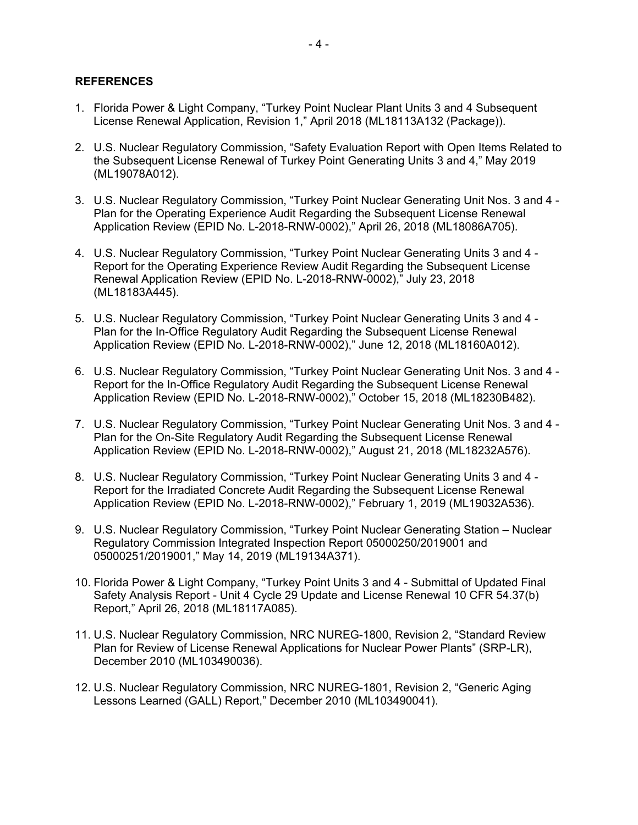#### **REFERENCES**

- 1. Florida Power & Light Company, "Turkey Point Nuclear Plant Units 3 and 4 Subsequent License Renewal Application, Revision 1," April 2018 (ML18113A132 (Package)).
- 2. U.S. Nuclear Regulatory Commission, "Safety Evaluation Report with Open Items Related to the Subsequent License Renewal of Turkey Point Generating Units 3 and 4," May 2019 (ML19078A012).
- 3. U.S. Nuclear Regulatory Commission, "Turkey Point Nuclear Generating Unit Nos. 3 and 4 Plan for the Operating Experience Audit Regarding the Subsequent License Renewal Application Review (EPID No. L-2018-RNW-0002)," April 26, 2018 (ML18086A705).
- 4. U.S. Nuclear Regulatory Commission, "Turkey Point Nuclear Generating Units 3 and 4 Report for the Operating Experience Review Audit Regarding the Subsequent License Renewal Application Review (EPID No. L-2018-RNW-0002)," July 23, 2018 (ML18183A445).
- 5. U.S. Nuclear Regulatory Commission, "Turkey Point Nuclear Generating Units 3 and 4 Plan for the In-Office Regulatory Audit Regarding the Subsequent License Renewal Application Review (EPID No. L-2018-RNW-0002)," June 12, 2018 (ML18160A012).
- 6. U.S. Nuclear Regulatory Commission, "Turkey Point Nuclear Generating Unit Nos. 3 and 4 Report for the In-Office Regulatory Audit Regarding the Subsequent License Renewal Application Review (EPID No. L-2018-RNW-0002)," October 15, 2018 (ML18230B482).
- 7. U.S. Nuclear Regulatory Commission, "Turkey Point Nuclear Generating Unit Nos. 3 and 4 Plan for the On-Site Regulatory Audit Regarding the Subsequent License Renewal Application Review (EPID No. L-2018-RNW-0002)," August 21, 2018 (ML18232A576).
- 8. U.S. Nuclear Regulatory Commission, "Turkey Point Nuclear Generating Units 3 and 4 Report for the Irradiated Concrete Audit Regarding the Subsequent License Renewal Application Review (EPID No. L-2018-RNW-0002)," February 1, 2019 (ML19032A536).
- 9. U.S. Nuclear Regulatory Commission, "Turkey Point Nuclear Generating Station Nuclear Regulatory Commission Integrated Inspection Report 05000250/2019001 and 05000251/2019001," May 14, 2019 (ML19134A371).
- 10. Florida Power & Light Company, "Turkey Point Units 3 and 4 Submittal of Updated Final Safety Analysis Report - Unit 4 Cycle 29 Update and License Renewal 10 CFR 54.37(b) Report," April 26, 2018 (ML18117A085).
- 11. U.S. Nuclear Regulatory Commission, NRC NUREG-1800, Revision 2, "Standard Review Plan for Review of License Renewal Applications for Nuclear Power Plants" (SRP-LR), December 2010 (ML103490036).
- 12. U.S. Nuclear Regulatory Commission, NRC NUREG-1801, Revision 2, "Generic Aging Lessons Learned (GALL) Report," December 2010 (ML103490041).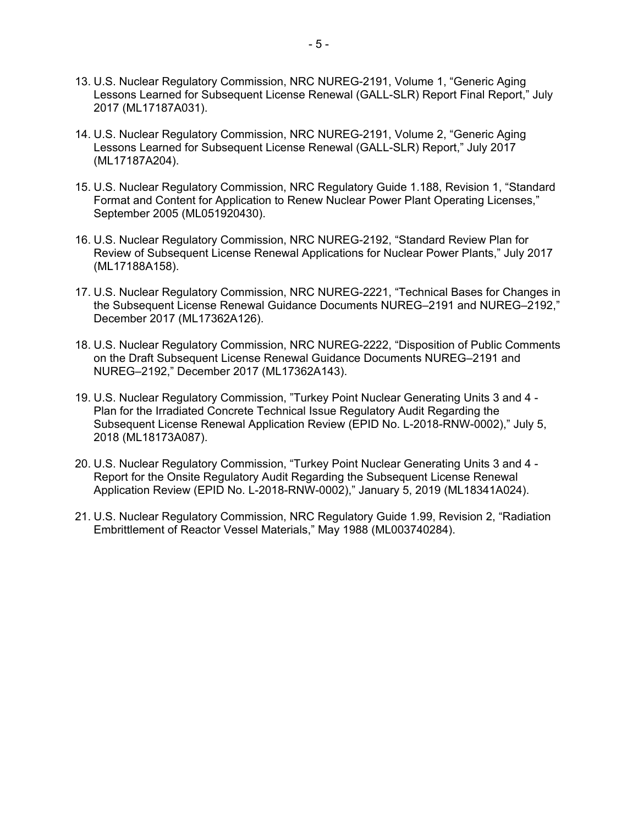- 13. U.S. Nuclear Regulatory Commission, NRC NUREG-2191, Volume 1, "Generic Aging Lessons Learned for Subsequent License Renewal (GALL-SLR) Report Final Report," July 2017 (ML17187A031).
- 14. U.S. Nuclear Regulatory Commission, NRC NUREG-2191, Volume 2, "Generic Aging Lessons Learned for Subsequent License Renewal (GALL-SLR) Report," July 2017 (ML17187A204).
- 15. U.S. Nuclear Regulatory Commission, NRC Regulatory Guide 1.188, Revision 1, "Standard Format and Content for Application to Renew Nuclear Power Plant Operating Licenses," September 2005 (ML051920430).
- 16. U.S. Nuclear Regulatory Commission, NRC NUREG-2192, "Standard Review Plan for Review of Subsequent License Renewal Applications for Nuclear Power Plants," July 2017 (ML17188A158).
- 17. U.S. Nuclear Regulatory Commission, NRC NUREG-2221, "Technical Bases for Changes in the Subsequent License Renewal Guidance Documents NUREG–2191 and NUREG–2192," December 2017 (ML17362A126).
- 18. U.S. Nuclear Regulatory Commission, NRC NUREG-2222, "Disposition of Public Comments on the Draft Subsequent License Renewal Guidance Documents NUREG–2191 and NUREG–2192," December 2017 (ML17362A143).
- 19. U.S. Nuclear Regulatory Commission, "Turkey Point Nuclear Generating Units 3 and 4 Plan for the Irradiated Concrete Technical Issue Regulatory Audit Regarding the Subsequent License Renewal Application Review (EPID No. L-2018-RNW-0002)," July 5, 2018 (ML18173A087).
- 20. U.S. Nuclear Regulatory Commission, "Turkey Point Nuclear Generating Units 3 and 4 Report for the Onsite Regulatory Audit Regarding the Subsequent License Renewal Application Review (EPID No. L-2018-RNW-0002)," January 5, 2019 (ML18341A024).
- 21. U.S. Nuclear Regulatory Commission, NRC Regulatory Guide 1.99, Revision 2, "Radiation Embrittlement of Reactor Vessel Materials," May 1988 (ML003740284).